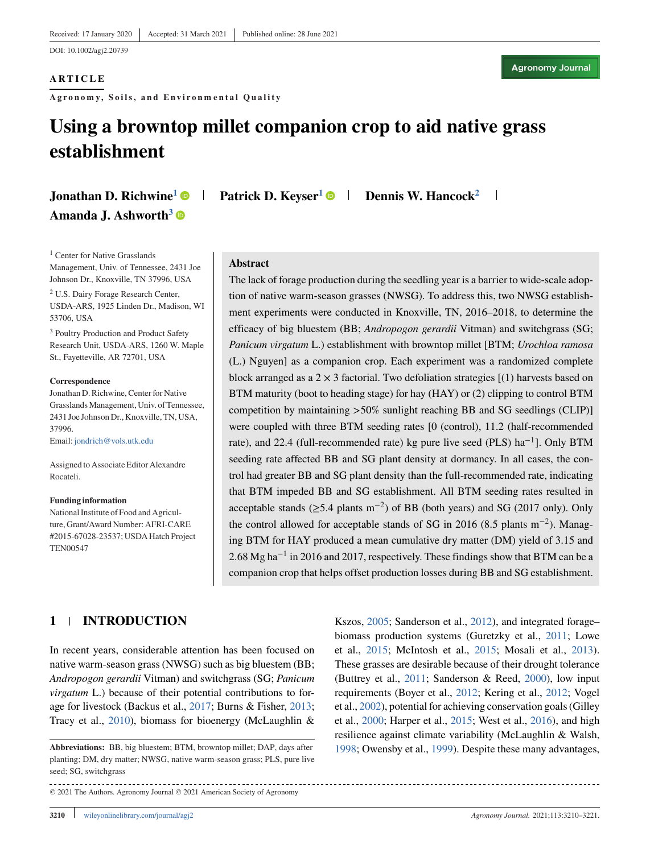DOI: 10.1002/agj2.20739

#### **ARTICLE**

**Agronomy, Soils, and Environm ental Quality**

**Agronomy Journal** 

## **Using a browntop millet companion crop to aid native grass establishment**

# Amanda J. Ashworth<sup>3</sup>

**Jonathan D. Richwine<sup>1</sup> • Patrick D. Keyser<sup>1</sup> • Dennis W. Hancock<sup>2</sup>** 

<sup>1</sup> Center for Native Grasslands Management, Univ. of Tennessee, 2431 Joe Johnson Dr., Knoxville, TN 37996, USA

<sup>2</sup> U.S. Dairy Forage Research Center, USDA-ARS, 1925 Linden Dr., Madison, WI 53706, USA

<sup>3</sup> Poultry Production and Product Safety Research Unit, USDA-ARS, 1260 W. Maple St., Fayetteville, AR 72701, USA

#### **Correspondence**

Jonathan D. Richwine, Center for Native Grasslands Management, Univ. of Tennessee, 2431 Joe Johnson Dr., Knoxville, TN, USA, 37996. Email: [jondrich@vols.utk.edu](mailto:jondrich@vols.utk.edu)

Assigned to Associate Editor Alexandre Rocateli.

#### **Funding information**

National Institute of Food and Agriculture, Grant/Award Number: AFRI-CARE #2015-67028-23537; USDA Hatch Project TEN00547

#### **Abstract**

The lack of forage production during the seedling year is a barrier to wide-scale adoption of native warm-season grasses (NWSG). To address this, two NWSG establishment experiments were conducted in Knoxville, TN, 2016–2018, to determine the efficacy of big bluestem (BB; *Andropogon gerardii* Vitman) and switchgrass (SG; *Panicum virgatum* L.) establishment with browntop millet [BTM; *Urochloa ramosa* (L.) Nguyen] as a companion crop. Each experiment was a randomized complete block arranged as a  $2 \times 3$  factorial. Two defoliation strategies  $[(1)$  harvests based on BTM maturity (boot to heading stage) for hay (HAY) or (2) clipping to control BTM competition by maintaining *>*50% sunlight reaching BB and SG seedlings (CLIP)] were coupled with three BTM seeding rates [0 (control), 11.2 (half-recommended rate), and 22.4 (full-recommended rate) kg pure live seed (PLS) ha<sup>−</sup>1]. Only BTM seeding rate affected BB and SG plant density at dormancy. In all cases, the control had greater BB and SG plant density than the full-recommended rate, indicating that BTM impeded BB and SG establishment. All BTM seeding rates resulted in acceptable stands ( $\geq$ 5.4 plants m<sup>-2</sup>) of BB (both years) and SG (2017 only). Only the control allowed for acceptable stands of SG in 2016 (8.5 plants m<sup>−</sup>2). Managing BTM for HAY produced a mean cumulative dry matter (DM) yield of 3.15 and 2.68 Mg ha−<sup>1</sup> in 2016 and 2017, respectively. These findings show that BTM can be a companion crop that helps offset production losses during BB and SG establishment.

### **1 INTRODUCTION**

In recent years, considerable attention has been focused on native warm-season grass (NWSG) such as big bluestem (BB; *Andropogon gerardii* Vitman) and switchgrass (SG; *Panicum virgatum* L.) because of their potential contributions to forage for livestock (Backus et al., [2017;](#page-10-0) Burns & Fisher, [2013;](#page-10-0) Tracy et al., [2010\)](#page-11-0), biomass for bioenergy (McLaughlin &

© 2021 The Authors. Agronomy Journal © 2021 American Society of Agronomy

Kszos, [2005;](#page-10-0) Sanderson et al., [2012\)](#page-11-0), and integrated forage– biomass production systems (Guretzky et al., [2011;](#page-10-0) Lowe et al., [2015;](#page-10-0) McIntosh et al., [2015;](#page-10-0) Mosali et al., [2013\)](#page-11-0). These grasses are desirable because of their drought tolerance (Buttrey et al., [2011;](#page-10-0) Sanderson & Reed, [2000\)](#page-11-0), low input requirements (Boyer et al., [2012;](#page-10-0) Kering et al., [2012;](#page-10-0) Vogel et al., [2002\)](#page-11-0), potential for achieving conservation goals (Gilley et al., [2000;](#page-10-0) Harper et al., [2015;](#page-10-0) West et al., [2016\)](#page-11-0), and high resilience against climate variability (McLaughlin & Walsh, [1998;](#page-11-0) Owensby et al., [1999\)](#page-11-0). Despite these many advantages,

**Abbreviations:** BB, big bluestem; BTM, browntop millet; DAP, days after planting; DM, dry matter; NWSG, native warm-season grass; PLS, pure live seed; SG, switchgrass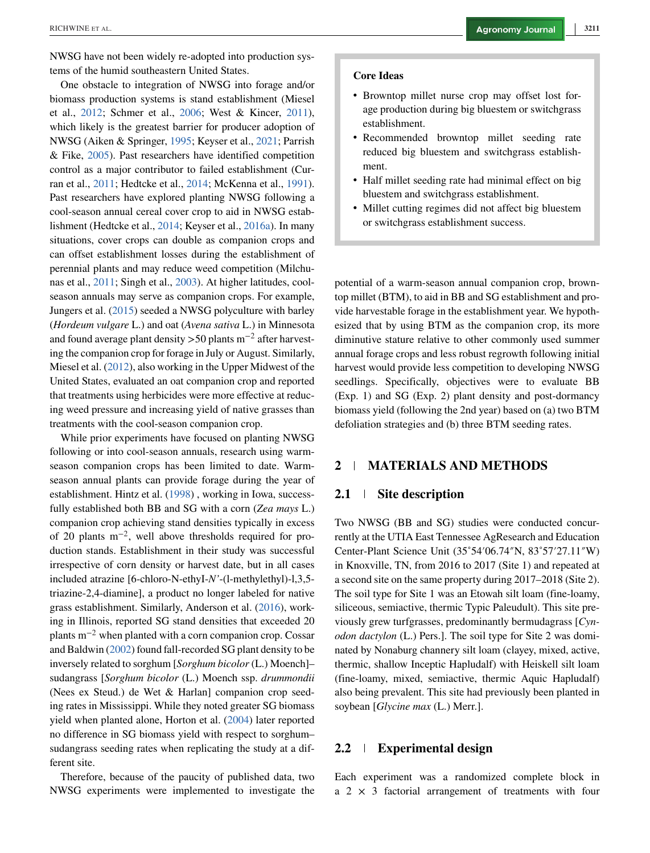NWSG have not been widely re-adopted into production systems of the humid southeastern United States.

One obstacle to integration of NWSG into forage and/or biomass production systems is stand establishment (Miesel et al., [2012;](#page-11-0) Schmer et al., [2006;](#page-11-0) West & Kincer, [2011\)](#page-11-0), which likely is the greatest barrier for producer adoption of NWSG (Aiken & Springer, [1995;](#page-10-0) Keyser et al., [2021;](#page-10-0) Parrish & Fike, [2005\)](#page-11-0). Past researchers have identified competition control as a major contributor to failed establishment (Curran et al., [2011;](#page-10-0) Hedtcke et al., [2014;](#page-10-0) McKenna et al., [1991\)](#page-10-0). Past researchers have explored planting NWSG following a cool-season annual cereal cover crop to aid in NWSG establishment (Hedtcke et al., [2014;](#page-10-0) Keyser et al., [2016a\)](#page-10-0). In many situations, cover crops can double as companion crops and can offset establishment losses during the establishment of perennial plants and may reduce weed competition (Milchunas et al., [2011;](#page-11-0) Singh et al., [2003\)](#page-11-0). At higher latitudes, coolseason annuals may serve as companion crops. For example, Jungers et al. [\(2015\)](#page-10-0) seeded a NWSG polyculture with barley (*Hordeum vulgare* L.) and oat (*Avena sativa* L.) in Minnesota and found average plant density *>*50 plants m−<sup>2</sup> after harvesting the companion crop for forage in July or August. Similarly, Miesel et al. [\(2012\)](#page-11-0), also working in the Upper Midwest of the United States, evaluated an oat companion crop and reported that treatments using herbicides were more effective at reducing weed pressure and increasing yield of native grasses than treatments with the cool-season companion crop.

While prior experiments have focused on planting NWSG following or into cool-season annuals, research using warmseason companion crops has been limited to date. Warmseason annual plants can provide forage during the year of establishment. Hintz et al. [\(1998\)](#page-10-0) , working in Iowa, successfully established both BB and SG with a corn (*Zea mays* L.) companion crop achieving stand densities typically in excess of 20 plants  $m^{-2}$ , well above thresholds required for production stands. Establishment in their study was successful irrespective of corn density or harvest date, but in all cases included atrazine [6-chloro-N-ethyI-*N'*-(l-methylethyl)-l,3,5 triazine-2,4-diamine], a product no longer labeled for native grass establishment. Similarly, Anderson et al. [\(2016\)](#page-10-0), working in Illinois, reported SG stand densities that exceeded 20 plants  $m^{-2}$  when planted with a corn companion crop. Cossar and Baldwin [\(2002\)](#page-10-0) found fall-recorded SG plant density to be inversely related to sorghum [*Sorghum bicolor* (L.) Moench]– sudangrass [*Sorghum bicolor* (L.) Moench ssp. *drummondii* (Nees ex Steud.) de Wet & Harlan] companion crop seeding rates in Mississippi. While they noted greater SG biomass yield when planted alone, Horton et al. [\(2004\)](#page-10-0) later reported no difference in SG biomass yield with respect to sorghum– sudangrass seeding rates when replicating the study at a different site.

Therefore, because of the paucity of published data, two NWSG experiments were implemented to investigate the

#### **Core Ideas**

- ∙ Browntop millet nurse crop may offset lost forage production during big bluestem or switchgrass establishment.
- ∙ Recommended browntop millet seeding rate reduced big bluestem and switchgrass establishment.
- ∙ Half millet seeding rate had minimal effect on big bluestem and switchgrass establishment.
- ∙ Millet cutting regimes did not affect big bluestem or switchgrass establishment success.

potential of a warm-season annual companion crop, browntop millet (BTM), to aid in BB and SG establishment and provide harvestable forage in the establishment year. We hypothesized that by using BTM as the companion crop, its more diminutive stature relative to other commonly used summer annual forage crops and less robust regrowth following initial harvest would provide less competition to developing NWSG seedlings. Specifically, objectives were to evaluate BB (Exp. 1) and SG (Exp. 2) plant density and post-dormancy biomass yield (following the 2nd year) based on (a) two BTM defoliation strategies and (b) three BTM seeding rates.

#### **2 MATERIALS AND METHODS**

#### **2.1 Site description**

Two NWSG (BB and SG) studies were conducted concurrently at the UTIA East Tennessee AgResearch and Education Center-Plant Science Unit (35˚54′06.74″N, 83˚57′27.11″W) in Knoxville, TN, from 2016 to 2017 (Site 1) and repeated at a second site on the same property during 2017–2018 (Site 2). The soil type for Site 1 was an Etowah silt loam (fine-loamy, siliceous, semiactive, thermic Typic Paleudult). This site previously grew turfgrasses, predominantly bermudagrass [*Cynodon dactylon* (L.) Pers.]. The soil type for Site 2 was dominated by Nonaburg channery silt loam (clayey, mixed, active, thermic, shallow Inceptic Hapludalf) with Heiskell silt loam (fine-loamy, mixed, semiactive, thermic Aquic Hapludalf) also being prevalent. This site had previously been planted in soybean [*Glycine max* (L.) Merr.].

#### **2.2 Experimental design**

Each experiment was a randomized complete block in a  $2 \times 3$  factorial arrangement of treatments with four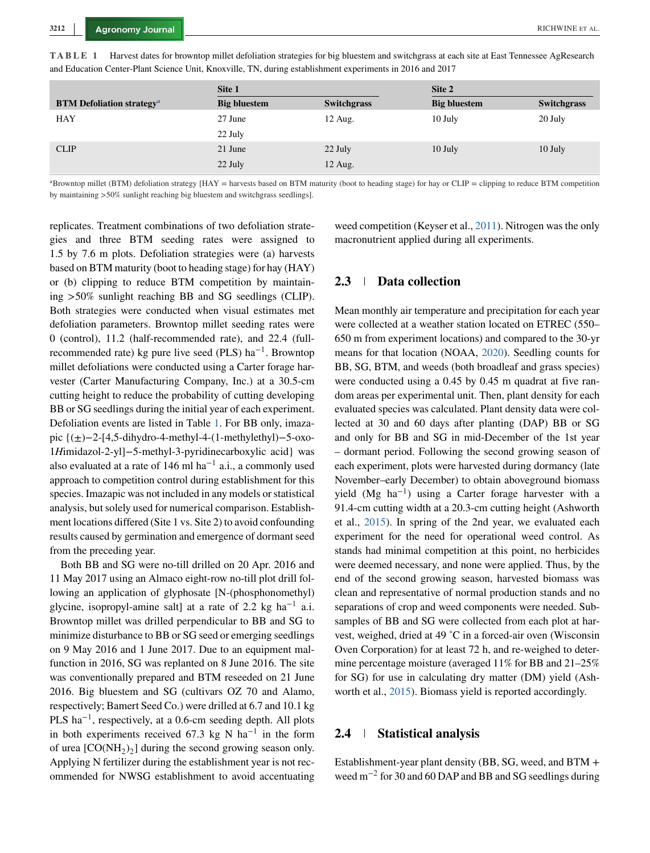|                                             | Site 1              |                    | Site 2              |                    |  |  |  |
|---------------------------------------------|---------------------|--------------------|---------------------|--------------------|--|--|--|
| <b>BTM Defoliation strategy<sup>a</sup></b> | <b>Big bluestem</b> | <b>Switchgrass</b> | <b>Big bluestem</b> | <b>Switchgrass</b> |  |  |  |
| <b>HAY</b>                                  | 27 June             | $12$ Aug.          | 10 July             | 20 July            |  |  |  |
|                                             | 22 July             |                    |                     |                    |  |  |  |
| <b>CLIP</b>                                 | 21 June             | 22 July            | 10 July             | 10 July            |  |  |  |
|                                             | 22 July             | 12 Aug.            |                     |                    |  |  |  |

<span id="page-2-0"></span>**TABLE 1** Harvest dates for browntop millet defoliation strategies for big bluestem and switchgrass at each site at East Tennessee AgResearch and Education Center-Plant Science Unit, Knoxville, TN, during establishment experiments in 2016 and 2017

<sup>a</sup>Browntop millet (BTM) defoliation strategy [HAY = harvests based on BTM maturity (boot to heading stage) for hay or CLIP = clipping to reduce BTM competition by maintaining *>*50% sunlight reaching big bluestem and switchgrass seedlings].

replicates. Treatment combinations of two defoliation strategies and three BTM seeding rates were assigned to 1.5 by 7.6 m plots. Defoliation strategies were (a) harvests based on BTM maturity (boot to heading stage) for hay (HAY) or (b) clipping to reduce BTM competition by maintaining *>*50% sunlight reaching BB and SG seedlings (CLIP). Both strategies were conducted when visual estimates met defoliation parameters. Browntop millet seeding rates were 0 (control), 11.2 (half-recommended rate), and 22.4 (fullrecommended rate) kg pure live seed (PLS) ha<sup>-1</sup>. Browntop millet defoliations were conducted using a Carter forage harvester (Carter Manufacturing Company, Inc.) at a 30.5-cm cutting height to reduce the probability of cutting developing BB or SG seedlings during the initial year of each experiment. Defoliation events are listed in Table 1. For BB only, imazapic {(±)−2-[4,5-dihydro-4-methyl-4-(1-methylethyl)−5-oxo-1*H*imidazol-2-yl]−5-methyl-3-pyridinecarboxylic acid} was also evaluated at a rate of 146 ml ha<sup> $-1$ </sup> a.i., a commonly used approach to competition control during establishment for this species. Imazapic was not included in any models or statistical analysis, but solely used for numerical comparison. Establishment locations differed (Site 1 vs. Site 2) to avoid confounding results caused by germination and emergence of dormant seed from the preceding year.

Both BB and SG were no-till drilled on 20 Apr. 2016 and 11 May 2017 using an Almaco eight-row no-till plot drill following an application of glyphosate [N-(phosphonomethyl) glycine, isopropyl-amine salt] at a rate of 2.2 kg ha<sup>-1</sup> a.i. Browntop millet was drilled perpendicular to BB and SG to minimize disturbance to BB or SG seed or emerging seedlings on 9 May 2016 and 1 June 2017. Due to an equipment malfunction in 2016, SG was replanted on 8 June 2016. The site was conventionally prepared and BTM reseeded on 21 June 2016. Big bluestem and SG (cultivars OZ 70 and Alamo, respectively; Bamert Seed Co.) were drilled at 6.7 and 10.1 kg PLS ha<sup> $-1$ </sup>, respectively, at a 0.6-cm seeding depth. All plots in both experiments received 67.3 kg N ha<sup>-1</sup> in the form of urea  $[CO(NH<sub>2</sub>)<sub>2</sub>]$  during the second growing season only. Applying N fertilizer during the establishment year is not recommended for NWSG establishment to avoid accentuating

weed competition (Keyser et al., [2011\)](#page-10-0). Nitrogen was the only macronutrient applied during all experiments.

#### **2.3 Data collection**

Mean monthly air temperature and precipitation for each year were collected at a weather station located on ETREC (550– 650 m from experiment locations) and compared to the 30-yr means for that location (NOAA, [2020\)](#page-11-0). Seedling counts for BB, SG, BTM, and weeds (both broadleaf and grass species) were conducted using a 0.45 by 0.45 m quadrat at five random areas per experimental unit. Then, plant density for each evaluated species was calculated. Plant density data were collected at 30 and 60 days after planting (DAP) BB or SG and only for BB and SG in mid-December of the 1st year – dormant period. Following the second growing season of each experiment, plots were harvested during dormancy (late November–early December) to obtain aboveground biomass yield (Mg ha<sup>-1</sup>) using a Carter forage harvester with a 91.4-cm cutting width at a 20.3-cm cutting height (Ashworth et al., [2015\)](#page-10-0). In spring of the 2nd year, we evaluated each experiment for the need for operational weed control. As stands had minimal competition at this point, no herbicides were deemed necessary, and none were applied. Thus, by the end of the second growing season, harvested biomass was clean and representative of normal production stands and no separations of crop and weed components were needed. Subsamples of BB and SG were collected from each plot at harvest, weighed, dried at 49 ˚C in a forced-air oven (Wisconsin Oven Corporation) for at least 72 h, and re-weighed to determine percentage moisture (averaged 11% for BB and 21–25% for SG) for use in calculating dry matter (DM) yield (Ashworth et al., [2015\)](#page-10-0). Biomass yield is reported accordingly.

#### **2.4 Statistical analysis**

Establishment-year plant density (BB, SG, weed, and BTM + weed m−<sup>2</sup> for 30 and 60 DAP and BB and SG seedlings during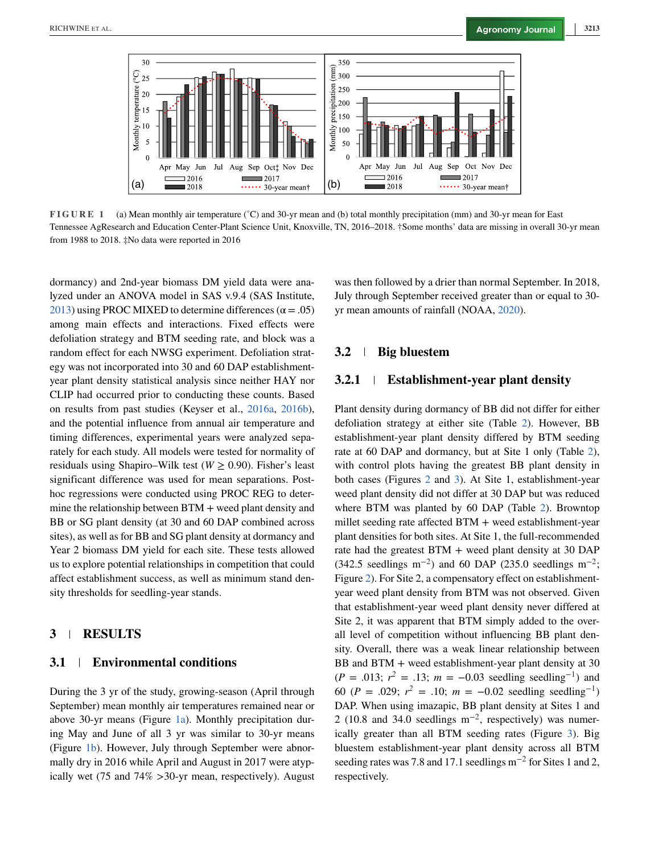

**FIGURE 1** (a) Mean monthly air temperature (˚C) and 30-yr mean and (b) total monthly precipitation (mm) and 30-yr mean for East Tennessee AgResearch and Education Center-Plant Science Unit, Knoxville, TN, 2016–2018. †Some months' data are missing in overall 30-yr mean from 1988 to 2018. ‡No data were reported in 2016

dormancy) and 2nd-year biomass DM yield data were analyzed under an ANOVA model in SAS v.9.4 (SAS Institute, [2013\)](#page-11-0) using PROC MIXED to determine differences ( $\alpha$  = .05) among main effects and interactions. Fixed effects were defoliation strategy and BTM seeding rate, and block was a random effect for each NWSG experiment. Defoliation strategy was not incorporated into 30 and 60 DAP establishmentyear plant density statistical analysis since neither HAY nor CLIP had occurred prior to conducting these counts. Based on results from past studies (Keyser et al., [2016a,](#page-10-0) [2016b\)](#page-10-0), and the potential influence from annual air temperature and timing differences, experimental years were analyzed separately for each study. All models were tested for normality of residuals using Shapiro–Wilk test (*W* ≥ 0.90). Fisher's least significant difference was used for mean separations. Posthoc regressions were conducted using PROC REG to determine the relationship between BTM + weed plant density and BB or SG plant density (at 30 and 60 DAP combined across sites), as well as for BB and SG plant density at dormancy and Year 2 biomass DM yield for each site. These tests allowed us to explore potential relationships in competition that could affect establishment success, as well as minimum stand density thresholds for seedling-year stands.

#### **3 RESULTS**

#### **3.1 Environmental conditions**

During the 3 yr of the study, growing-season (April through September) mean monthly air temperatures remained near or above 30-yr means (Figure 1a). Monthly precipitation during May and June of all 3 yr was similar to 30-yr means (Figure 1b). However, July through September were abnormally dry in 2016 while April and August in 2017 were atypically wet (75 and 74% *>*30-yr mean, respectively). August

was then followed by a drier than normal September. In 2018, July through September received greater than or equal to 30 yr mean amounts of rainfall (NOAA, [2020\)](#page-11-0).

#### **3.2 Big bluestem**

#### **3.2.1 Establishment-year plant density**

Plant density during dormancy of BB did not differ for either defoliation strategy at either site (Table [2\)](#page-4-0). However, BB establishment-year plant density differed by BTM seeding rate at 60 DAP and dormancy, but at Site 1 only (Table [2\)](#page-4-0), with control plots having the greatest BB plant density in both cases (Figures [2](#page-5-0) and [3\)](#page-6-0). At Site 1, establishment-year weed plant density did not differ at 30 DAP but was reduced where BTM was planted by 60 DAP (Table [2\)](#page-4-0). Browntop millet seeding rate affected  $BTM +$  weed establishment-year plant densities for both sites. At Site 1, the full-recommended rate had the greatest BTM + weed plant density at 30 DAP  $(342.5 \text{ seedlings m}^{-2})$  and 60 DAP (235.0 seedlings m<sup>-2</sup>; Figure [2\)](#page-5-0). For Site 2, a compensatory effect on establishmentyear weed plant density from BTM was not observed. Given that establishment-year weed plant density never differed at Site 2, it was apparent that BTM simply added to the overall level of competition without influencing BB plant density. Overall, there was a weak linear relationship between BB and BTM + weed establishment-year plant density at 30  $(P = .013; r^2 = .13; m = -0.03$  seedling seedling<sup>-1</sup>) and 60 (*P* = .029;  $r^2$  = .10;  $m = -0.02$  seedling seedling<sup>-1</sup>) DAP. When using imazapic, BB plant density at Sites 1 and 2 (10.8 and 34.0 seedlings  $m^{-2}$ , respectively) was numerically greater than all BTM seeding rates (Figure [3\)](#page-6-0). Big bluestem establishment-year plant density across all BTM seeding rates was 7.8 and 17.1 seedlings m<sup>-2</sup> for Sites 1 and 2, respectively.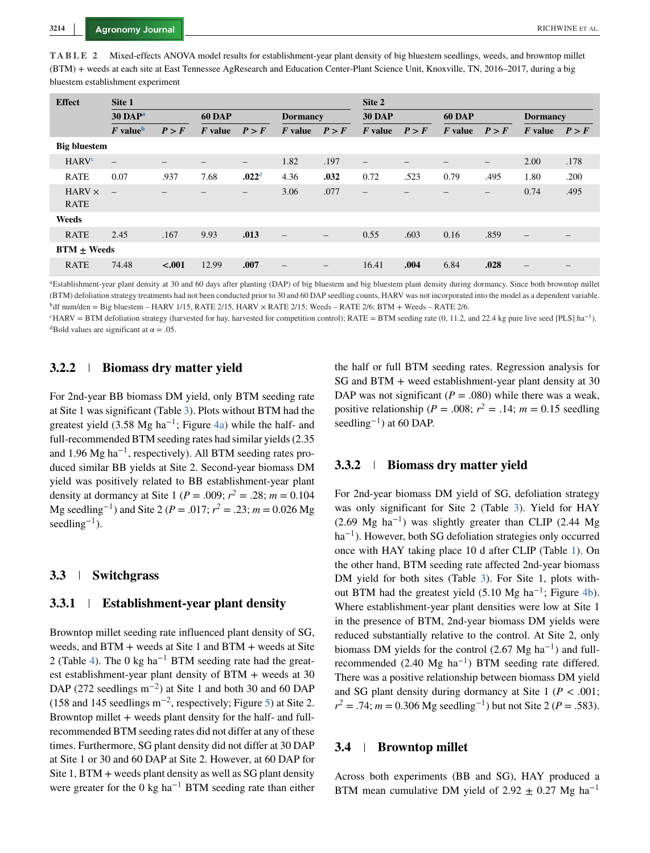<span id="page-4-0"></span>**TABLE 2** Mixed-effects ANOVA model results for establishment-year plant density of big bluestem seedlings, weeds, and browntop millet (BTM) + weeds at each site at East Tennessee AgResearch and Education Center-Plant Science Unit, Knoxville, TN, 2016–2017, during a big bluestem establishment experiment

| <b>Effect</b>                | Site 1                      |         |               |                   |                   | Site 2            |                          |                          |               |                              |                        |                          |
|------------------------------|-----------------------------|---------|---------------|-------------------|-------------------|-------------------|--------------------------|--------------------------|---------------|------------------------------|------------------------|--------------------------|
|                              | $30$ DAP <sup>a</sup>       |         | <b>60 DAP</b> |                   | <b>Dormancy</b>   |                   | <b>30 DAP</b>            |                          | <b>60 DAP</b> |                              | <b>Dormancy</b>        |                          |
|                              | $\bm{F}$ value <sup>b</sup> | P > F   | $F$ value     | P > F             | $F$ value         | P > F             | $F$ value                | P > F                    | $F$ value     | P > F                        | $\boldsymbol{F}$ value | P > F                    |
| <b>Big bluestem</b>          |                             |         |               |                   |                   |                   |                          |                          |               |                              |                        |                          |
| <b>HARV</b> <sup>c</sup>     | $\equiv$                    | -       |               | $\qquad \qquad -$ | 1.82              | .197              |                          | $\overline{\phantom{0}}$ |               | $\qquad \qquad -$            | 2.00                   | .178                     |
| <b>RATE</b>                  | 0.07                        | .937    | 7.68          | .022 <sup>d</sup> | 4.36              | .032              | 0.72                     | .523                     | 0.79          | .495                         | 1.80                   | .200                     |
| $HARV \times$<br><b>RATE</b> | $\equiv$                    |         |               | $\qquad \qquad -$ | 3.06              | .077              | $\overline{\phantom{0}}$ |                          |               | $\qquad \qquad \blacksquare$ | 0.74                   | .495                     |
| Weeds                        |                             |         |               |                   |                   |                   |                          |                          |               |                              |                        |                          |
| <b>RATE</b>                  | 2.45                        | .167    | 9.93          | .013              | $\qquad \qquad -$ | $\qquad \qquad -$ | 0.55                     | .603                     | 0.16          | .859                         | $\qquad \qquad -$      | $\overline{\phantom{m}}$ |
| $BTM + Weeds$                |                             |         |               |                   |                   |                   |                          |                          |               |                              |                        |                          |
| <b>RATE</b>                  | 74.48                       | $-.001$ | 12.99         | .007              |                   | —                 | 16.41                    | .004                     | 6.84          | .028                         |                        |                          |

<sup>a</sup>Establishment-year plant density at 30 and 60 days after planting (DAP) of big bluestem and big bluestem plant density during dormancy. Since both browntop millet (BTM) defoliation strategy treatments had not been conducted prior to 30 and 60 DAP seedling counts, HARV was not incorporated into the model as a dependent variable.  $b$ df num/den = Big bluestem – HARV 1/15, RATE 2/15, HARV  $\times$  RATE 2/15; Weeds – RATE 2/6; BTM + Weeds – RATE 2/6.

 $c'HARY = BTM$  defoliation strategy (harvested for hay, harvested for competition control); RATE = BTM seeding rate (0, 11.2, and 22.4 kg pure live seed [PLS] ha<sup>-1</sup>). <sup>d</sup>Bold values are significant at  $\alpha = .05$ .

#### **3.2.2 Biomass dry matter yield**

For 2nd-year BB biomass DM yield, only BTM seeding rate at Site 1 was significant (Table [3\)](#page-6-0). Plots without BTM had the greatest yield (3.58 Mg ha<sup>-1</sup>; Figure [4a\)](#page-7-0) while the half- and full-recommended BTM seeding rates had similar yields (2.35 and 1.96 Mg ha<sup>-1</sup>, respectively). All BTM seeding rates produced similar BB yields at Site 2. Second-year biomass DM yield was positively related to BB establishment-year plant density at dormancy at Site 1 ( $P = .009$ ;  $r^2 = .28$ ;  $m = 0.104$ Mg seedling<sup>-1</sup>) and Site 2 (*P* = .017;  $r^2$  = .23; *m* = 0.026 Mg seedling<sup>-1</sup>).

#### **3.3 Switchgrass**

#### **3.3.1 Establishment-year plant density**

Browntop millet seeding rate influenced plant density of SG, weeds, and BTM + weeds at Site 1 and BTM + weeds at Site 2 (Table [4\)](#page-7-0). The 0 kg ha<sup>-1</sup> BTM seeding rate had the greatest establishment-year plant density of BTM + weeds at 30 DAP (272 seedlings m<sup>-2</sup>) at Site 1 and both 30 and 60 DAP (158 and 145 seedlings  $m^{-2}$ , respectively; Figure [5\)](#page-8-0) at Site 2. Browntop millet + weeds plant density for the half- and fullrecommended BTM seeding rates did not differ at any of these times. Furthermore, SG plant density did not differ at 30 DAP at Site 1 or 30 and 60 DAP at Site 2. However, at 60 DAP for Site 1, BTM + weeds plant density as well as SG plant density were greater for the 0 kg ha<sup>-1</sup> BTM seeding rate than either the half or full BTM seeding rates. Regression analysis for SG and BTM + weed establishment-year plant density at 30 DAP was not significant  $(P = .080)$  while there was a weak, positive relationship ( $P = .008$ ;  $r^2 = .14$ ;  $m = 0.15$  seedling seedling<sup>-1</sup>) at 60 DAP.

#### **3.3.2 Biomass dry matter yield**

For 2nd-year biomass DM yield of SG, defoliation strategy was only significant for Site 2 (Table [3\)](#page-6-0). Yield for HAY  $(2.69 \text{ Mg} \text{ ha}^{-1})$  was slightly greater than CLIP (2.44 Mg) ha<sup>-1</sup>). However, both SG defoliation strategies only occurred once with HAY taking place 10 d after CLIP (Table [1\)](#page-2-0). On the other hand, BTM seeding rate affected 2nd-year biomass DM yield for both sites (Table [3\)](#page-6-0). For Site 1, plots without BTM had the greatest yield  $(5.10 \text{ Mg ha}^{-1})$ ; Figure [4b\)](#page-7-0). Where establishment-year plant densities were low at Site 1 in the presence of BTM, 2nd-year biomass DM yields were reduced substantially relative to the control. At Site 2, only biomass DM yields for the control (2.67 Mg ha<sup>-1</sup>) and fullrecommended (2.40 Mg ha<sup>-1</sup>) BTM seeding rate differed. There was a positive relationship between biomass DM yield and SG plant density during dormancy at Site  $1 (P < .001)$ ;  $r^2 = .74$ ; *m* = 0.306 Mg seedling<sup>-1</sup>) but not Site 2 (*P* = .583).

#### **3.4 Browntop millet**

Across both experiments (BB and SG), HAY produced a BTM mean cumulative DM yield of 2.92  $\pm$  0.27 Mg ha<sup>-1</sup>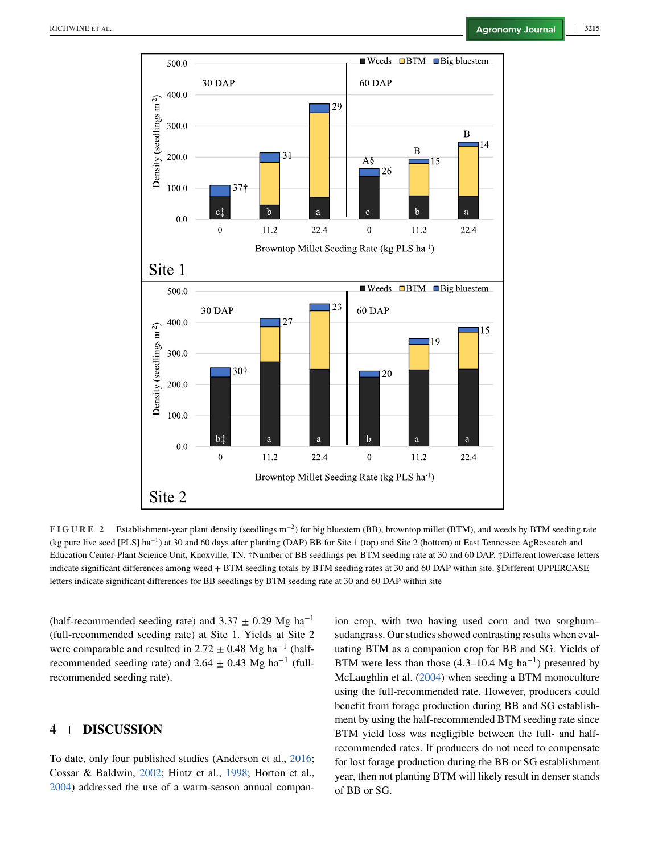<span id="page-5-0"></span>

**FIGURE 2** Establishment-year plant density (seedlings m<sup>−</sup>2) for big bluestem (BB), browntop millet (BTM), and weeds by BTM seeding rate (kg pure live seed [PLS] ha<sup>−</sup>1) at 30 and 60 days after planting (DAP) BB for Site 1 (top) and Site 2 (bottom) at East Tennessee AgResearch and Education Center-Plant Science Unit, Knoxville, TN. †Number of BB seedlings per BTM seeding rate at 30 and 60 DAP. ‡Different lowercase letters indicate significant differences among weed + BTM seedling totals by BTM seeding rates at 30 and 60 DAP within site. §Different UPPERCASE letters indicate significant differences for BB seedlings by BTM seeding rate at 30 and 60 DAP within site

(half-recommended seeding rate) and 3.37  $\pm$  0.29 Mg ha<sup>-1</sup> (full-recommended seeding rate) at Site 1. Yields at Site 2 were comparable and resulted in 2.72  $\pm$  0.48 Mg ha<sup>-1</sup> (halfrecommended seeding rate) and 2.64  $\pm$  0.43 Mg ha<sup>-1</sup> (fullrecommended seeding rate).

### **4 DISCUSSION**

To date, only four published studies (Anderson et al., [2016;](#page-10-0) Cossar & Baldwin, [2002;](#page-10-0) Hintz et al., [1998;](#page-10-0) Horton et al., [2004\)](#page-10-0) addressed the use of a warm-season annual compan-

ion crop, with two having used corn and two sorghum– sudangrass. Our studies showed contrasting results when evaluating BTM as a companion crop for BB and SG. Yields of BTM were less than those  $(4.3-10.4 \text{ Mg} \text{ ha}^{-1})$  presented by McLaughlin et al. [\(2004\)](#page-11-0) when seeding a BTM monoculture using the full-recommended rate. However, producers could benefit from forage production during BB and SG establishment by using the half-recommended BTM seeding rate since BTM yield loss was negligible between the full- and halfrecommended rates. If producers do not need to compensate for lost forage production during the BB or SG establishment year, then not planting BTM will likely result in denser stands of BB or SG.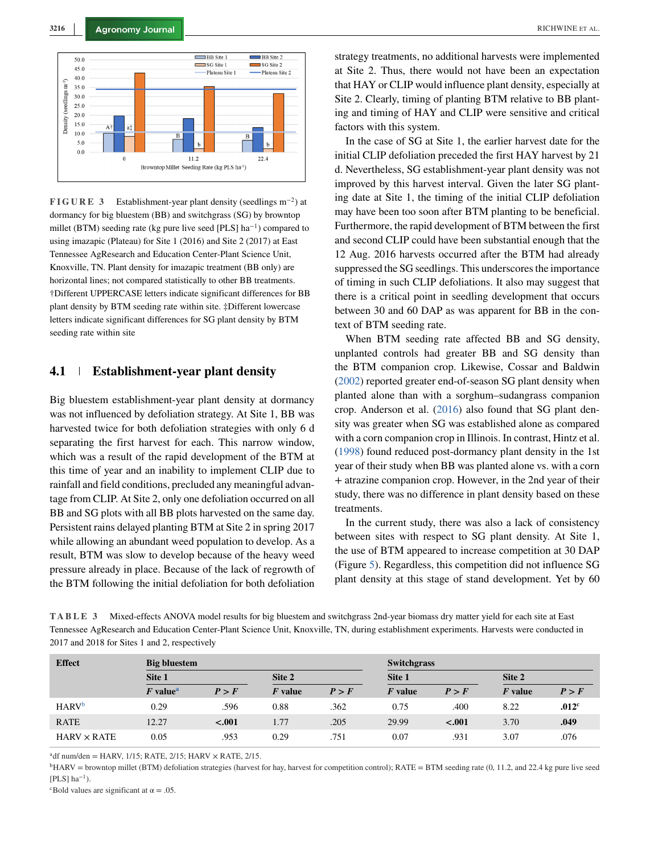<span id="page-6-0"></span>

**FIGURE 3** Establishment-year plant density (seedlings m<sup>−</sup>2) at dormancy for big bluestem (BB) and switchgrass (SG) by browntop millet (BTM) seeding rate (kg pure live seed [PLS] ha<sup>-1</sup>) compared to using imazapic (Plateau) for Site 1 (2016) and Site 2 (2017) at East Tennessee AgResearch and Education Center-Plant Science Unit, Knoxville, TN. Plant density for imazapic treatment (BB only) are horizontal lines; not compared statistically to other BB treatments. †Different UPPERCASE letters indicate significant differences for BB plant density by BTM seeding rate within site. ‡Different lowercase letters indicate significant differences for SG plant density by BTM seeding rate within site

#### **4.1 Establishment-year plant density**

Big bluestem establishment-year plant density at dormancy was not influenced by defoliation strategy. At Site 1, BB was harvested twice for both defoliation strategies with only 6 d separating the first harvest for each. This narrow window, which was a result of the rapid development of the BTM at this time of year and an inability to implement CLIP due to rainfall and field conditions, precluded any meaningful advantage from CLIP. At Site 2, only one defoliation occurred on all BB and SG plots with all BB plots harvested on the same day. Persistent rains delayed planting BTM at Site 2 in spring 2017 while allowing an abundant weed population to develop. As a result, BTM was slow to develop because of the heavy weed pressure already in place. Because of the lack of regrowth of the BTM following the initial defoliation for both defoliation

strategy treatments, no additional harvests were implemented at Site 2. Thus, there would not have been an expectation that HAY or CLIP would influence plant density, especially at Site 2. Clearly, timing of planting BTM relative to BB planting and timing of HAY and CLIP were sensitive and critical factors with this system.

In the case of SG at Site 1, the earlier harvest date for the initial CLIP defoliation preceded the first HAY harvest by 21 d. Nevertheless, SG establishment-year plant density was not improved by this harvest interval. Given the later SG planting date at Site 1, the timing of the initial CLIP defoliation may have been too soon after BTM planting to be beneficial. Furthermore, the rapid development of BTM between the first and second CLIP could have been substantial enough that the 12 Aug. 2016 harvests occurred after the BTM had already suppressed the SG seedlings. This underscores the importance of timing in such CLIP defoliations. It also may suggest that there is a critical point in seedling development that occurs between 30 and 60 DAP as was apparent for BB in the context of BTM seeding rate.

When BTM seeding rate affected BB and SG density, unplanted controls had greater BB and SG density than the BTM companion crop. Likewise, Cossar and Baldwin [\(2002\)](#page-10-0) reported greater end-of-season SG plant density when planted alone than with a sorghum–sudangrass companion crop. Anderson et al. [\(2016\)](#page-10-0) also found that SG plant density was greater when SG was established alone as compared with a corn companion crop in Illinois. In contrast, Hintz et al. [\(1998\)](#page-10-0) found reduced post-dormancy plant density in the 1st year of their study when BB was planted alone vs. with a corn + atrazine companion crop. However, in the 2nd year of their study, there was no difference in plant density based on these treatments.

In the current study, there was also a lack of consistency between sites with respect to SG plant density. At Site 1, the use of BTM appeared to increase competition at 30 DAP (Figure [5\)](#page-8-0). Regardless, this competition did not influence SG plant density at this stage of stand development. Yet by 60

**TABLE 3** Mixed-effects ANOVA model results for big bluestem and switchgrass 2nd-year biomass dry matter yield for each site at East Tennessee AgResearch and Education Center-Plant Science Unit, Knoxville, TN, during establishment experiments. Harvests were conducted in 2017 and 2018 for Sites 1 and 2, respectively

| <b>Effect</b>            | <b>Big bluestem</b>                 |         |           |       | <b>Switchgrass</b>     |         |                        |                   |  |  |
|--------------------------|-------------------------------------|---------|-----------|-------|------------------------|---------|------------------------|-------------------|--|--|
|                          | Site 1                              |         | Site 2    |       | Site 1                 |         | Site 2                 |                   |  |  |
|                          | $\boldsymbol{F}$ value <sup>a</sup> | P > F   | $F$ value | P > F | $\boldsymbol{F}$ value | P > F   | $\boldsymbol{F}$ value | P > F             |  |  |
| <b>HARV</b> <sup>b</sup> | 0.29                                | .596    | 0.88      | .362  | 0.75                   | .400    | 8.22                   | .012 <sup>c</sup> |  |  |
| <b>RATE</b>              | 12.27                               | $-.001$ | 1.77      | .205  | 29.99                  | $-.001$ | 3.70                   | .049              |  |  |
| $HARV \times RATE$       | 0.05                                | .953    | 0.29      | .751  | 0.07                   | .931    | 3.07                   | .076              |  |  |

 $^{a}$ df num/den = HARV, 1/15; RATE, 2/15; HARV  $\times$  RATE, 2/15.

<sup>b</sup>HARV = browntop millet (BTM) defoliation strategies (harvest for hay, harvest for competition control); RATE = BTM seeding rate (0, 11.2, and 22.4 kg pure live seed  $[PLS]$  ha<sup>-1</sup>).

<sup>c</sup>Bold values are significant at  $\alpha = .05$ .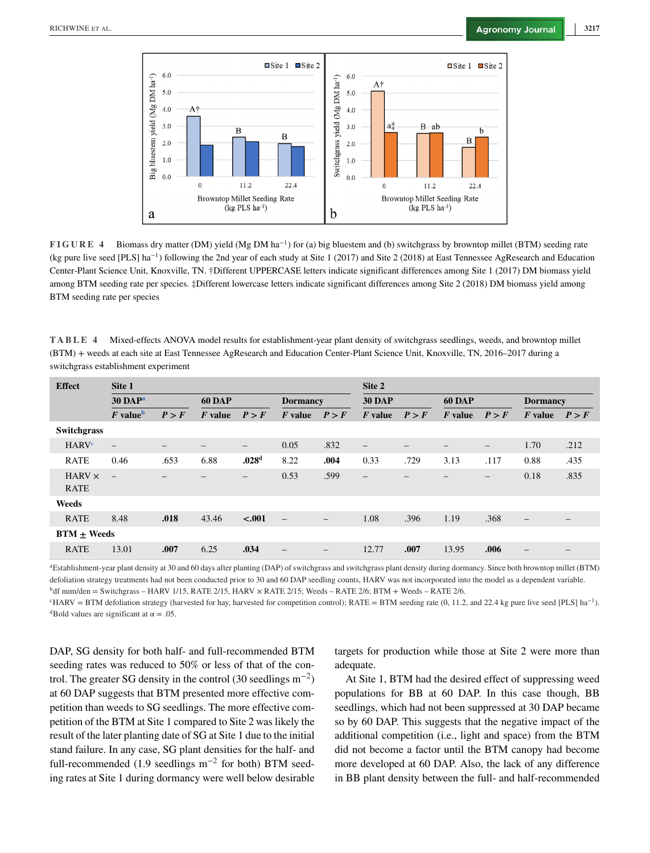<span id="page-7-0"></span>

**FIGURE 4** Biomass dry matter (DM) yield (Mg DM ha<sup>−</sup>1) for (a) big bluestem and (b) switchgrass by browntop millet (BTM) seeding rate (kg pure live seed [PLS] ha<sup>−</sup>1) following the 2nd year of each study at Site 1 (2017) and Site 2 (2018) at East Tennessee AgResearch and Education Center-Plant Science Unit, Knoxville, TN. †Different UPPERCASE letters indicate significant differences among Site 1 (2017) DM biomass yield among BTM seeding rate per species. ‡Different lowercase letters indicate significant differences among Site 2 (2018) DM biomass yield among BTM seeding rate per species

**TABLE 4** Mixed-effects ANOVA model results for establishment-year plant density of switchgrass seedlings, weeds, and browntop millet (BTM) + weeds at each site at East Tennessee AgResearch and Education Center-Plant Science Unit, Knoxville, TN, 2016–2017 during a switchgrass establishment experiment

| <b>Effect</b>                | Site 1                              |                 |               |                   |                          | Site 2                   |                          |       |               |                              |                          |                                 |
|------------------------------|-------------------------------------|-----------------|---------------|-------------------|--------------------------|--------------------------|--------------------------|-------|---------------|------------------------------|--------------------------|---------------------------------|
|                              | $30$ DAP <sup>a</sup>               |                 | <b>60 DAP</b> |                   | <b>Dormancy</b>          |                          | <b>30 DAP</b>            |       | <b>60 DAP</b> |                              | <b>Dormancy</b>          |                                 |
|                              | $\boldsymbol{F}$ value <sup>b</sup> | P > F           | $F$ value     | P > F             | $F$ value                | P > F                    | $\boldsymbol{F}$ value   | P > F | $F$ value     | P > F                        | $\boldsymbol{F}$ value   | P > F                           |
| <b>Switchgrass</b>           |                                     |                 |               |                   |                          |                          |                          |       |               |                              |                          |                                 |
| <b>HARV<sup>c</sup></b>      | $\overline{\phantom{0}}$            | $\qquad \qquad$ |               | $\qquad \qquad -$ | 0.05                     | .832                     | $\qquad \qquad -$        | -     | -             | -                            | 1.70                     | .212                            |
| <b>RATE</b>                  | 0.46                                | .653            | 6.88          | .028 <sup>d</sup> | 8.22                     | .004                     | 0.33                     | .729  | 3.13          | .117                         | 0.88                     | .435                            |
| $HARV \times$<br><b>RATE</b> | $\equiv$                            |                 |               | —                 | 0.53                     | .599                     | $\overline{\phantom{m}}$ |       |               | $\qquad \qquad \blacksquare$ | 0.18                     | .835                            |
| Weeds                        |                                     |                 |               |                   |                          |                          |                          |       |               |                              |                          |                                 |
| <b>RATE</b>                  | 8.48                                | .018            | 43.46         | $-.001$           | $\overline{\phantom{m}}$ | $\overline{\phantom{m}}$ | 1.08                     | .396  | 1.19          | .368                         | $\overline{\phantom{m}}$ | $\hspace{0.1mm}-\hspace{0.1mm}$ |
| $BTM + Weeds$                |                                     |                 |               |                   |                          |                          |                          |       |               |                              |                          |                                 |
| <b>RATE</b>                  | 13.01                               | .007            | 6.25          | .034              | $\overline{\phantom{0}}$ | $\qquad \qquad -$        | 12.77                    | .007  | 13.95         | .006                         |                          |                                 |

aEstablishment-year plant density at 30 and 60 days after planting (DAP) of switchgrass and switchgrass plant density during dormancy. Since both browntop millet (BTM) defoliation strategy treatments had not been conducted prior to 30 and 60 DAP seedling counts, HARV was not incorporated into the model as a dependent variable.

 $b$ df num/den = Switchgrass – HARV 1/15, RATE 2/15, HARV  $\times$  RATE 2/15; Weeds – RATE 2/6; BTM + Weeds – RATE 2/6.

 $c$ HARV = BTM defoliation strategy (harvested for hay, harvested for competition control); RATE = BTM seeding rate (0, 11.2, and 22.4 kg pure live seed [PLS] ha<sup>-1</sup>). <sup>d</sup>Bold values are significant at  $\alpha = .05$ .

DAP, SG density for both half- and full-recommended BTM seeding rates was reduced to 50% or less of that of the control. The greater SG density in the control (30 seedlings  $m^{-2}$ ) at 60 DAP suggests that BTM presented more effective competition than weeds to SG seedlings. The more effective competition of the BTM at Site 1 compared to Site 2 was likely the result of the later planting date of SG at Site 1 due to the initial stand failure. In any case, SG plant densities for the half- and full-recommended (1.9 seedlings  $m^{-2}$  for both) BTM seeding rates at Site 1 during dormancy were well below desirable

targets for production while those at Site 2 were more than adequate.

At Site 1, BTM had the desired effect of suppressing weed populations for BB at 60 DAP. In this case though, BB seedlings, which had not been suppressed at 30 DAP became so by 60 DAP. This suggests that the negative impact of the additional competition (i.e., light and space) from the BTM did not become a factor until the BTM canopy had become more developed at 60 DAP. Also, the lack of any difference in BB plant density between the full- and half-recommended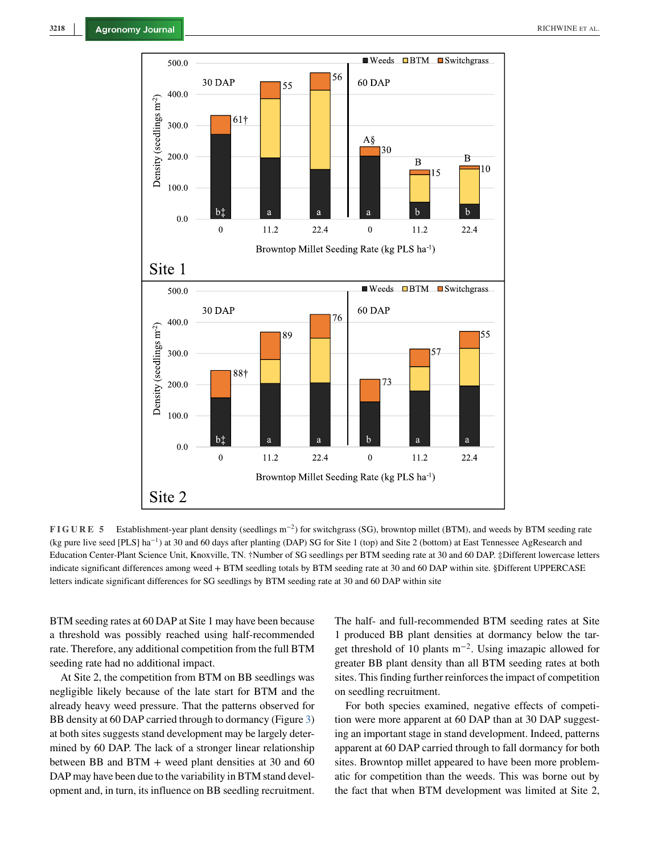<span id="page-8-0"></span>

**FIGURE 5** Establishment-year plant density (seedlings m<sup>−</sup>2) for switchgrass (SG), browntop millet (BTM), and weeds by BTM seeding rate (kg pure live seed [PLS] ha<sup>−</sup>1) at 30 and 60 days after planting (DAP) SG for Site 1 (top) and Site 2 (bottom) at East Tennessee AgResearch and Education Center-Plant Science Unit, Knoxville, TN. †Number of SG seedlings per BTM seeding rate at 30 and 60 DAP. ‡Different lowercase letters indicate significant differences among weed + BTM seedling totals by BTM seeding rate at 30 and 60 DAP within site. §Different UPPERCASE letters indicate significant differences for SG seedlings by BTM seeding rate at 30 and 60 DAP within site

BTM seeding rates at 60 DAP at Site 1 may have been because a threshold was possibly reached using half-recommended rate. Therefore, any additional competition from the full BTM seeding rate had no additional impact.

At Site 2, the competition from BTM on BB seedlings was negligible likely because of the late start for BTM and the already heavy weed pressure. That the patterns observed for BB density at 60 DAP carried through to dormancy (Figure [3\)](#page-6-0) at both sites suggests stand development may be largely determined by 60 DAP. The lack of a stronger linear relationship between BB and BTM + weed plant densities at 30 and 60 DAP may have been due to the variability in BTM stand development and, in turn, its influence on BB seedling recruitment.

The half- and full-recommended BTM seeding rates at Site 1 produced BB plant densities at dormancy below the target threshold of 10 plants m<sup>−</sup>2. Using imazapic allowed for greater BB plant density than all BTM seeding rates at both sites. This finding further reinforces the impact of competition on seedling recruitment.

For both species examined, negative effects of competition were more apparent at 60 DAP than at 30 DAP suggesting an important stage in stand development. Indeed, patterns apparent at 60 DAP carried through to fall dormancy for both sites. Browntop millet appeared to have been more problematic for competition than the weeds. This was borne out by the fact that when BTM development was limited at Site 2,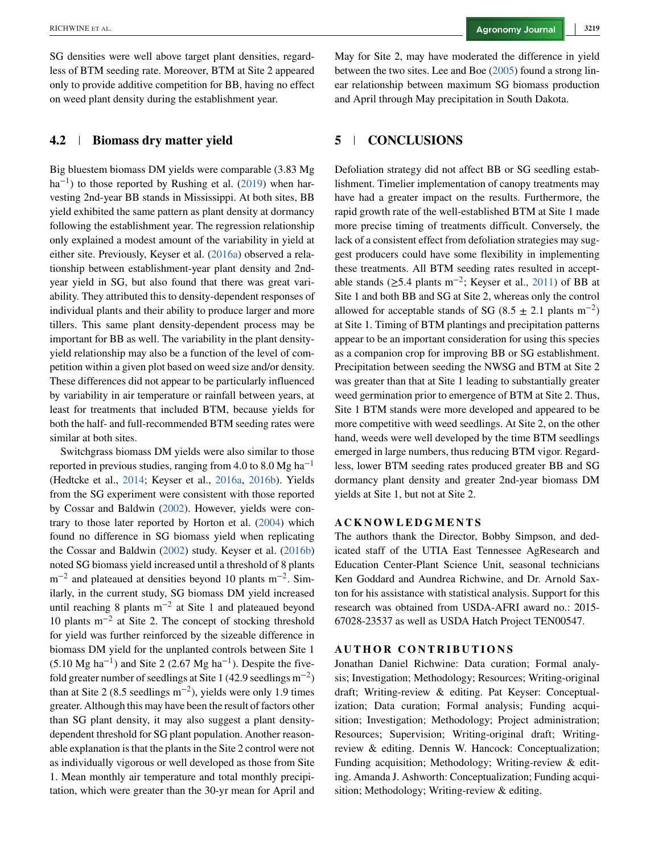SG densities were well above target plant densities, regardless of BTM seeding rate. Moreover, BTM at Site 2 appeared only to provide additive competition for BB, having no effect on weed plant density during the establishment year.

#### **4.2 Biomass dry matter yield**

Big bluestem biomass DM yields were comparable (3.83 Mg  $ha^{-1}$ ) to those reported by Rushing et al. [\(2019\)](#page-11-0) when harvesting 2nd-year BB stands in Mississippi. At both sites, BB yield exhibited the same pattern as plant density at dormancy following the establishment year. The regression relationship only explained a modest amount of the variability in yield at either site. Previously, Keyser et al. [\(2016a\)](#page-10-0) observed a relationship between establishment-year plant density and 2ndyear yield in SG, but also found that there was great variability. They attributed this to density-dependent responses of individual plants and their ability to produce larger and more tillers. This same plant density-dependent process may be important for BB as well. The variability in the plant densityyield relationship may also be a function of the level of competition within a given plot based on weed size and/or density. These differences did not appear to be particularly influenced by variability in air temperature or rainfall between years, at least for treatments that included BTM, because yields for both the half- and full-recommended BTM seeding rates were similar at both sites.

Switchgrass biomass DM yields were also similar to those reported in previous studies, ranging from 4.0 to 8.0 Mg ha<sup>-1</sup> (Hedtcke et al., [2014;](#page-10-0) Keyser et al., [2016a,](#page-10-0) [2016b\)](#page-10-0). Yields from the SG experiment were consistent with those reported by Cossar and Baldwin [\(2002\)](#page-10-0). However, yields were contrary to those later reported by Horton et al. [\(2004\)](#page-10-0) which found no difference in SG biomass yield when replicating the Cossar and Baldwin [\(2002\)](#page-10-0) study. Keyser et al. [\(2016b\)](#page-10-0) noted SG biomass yield increased until a threshold of 8 plants  $m^{-2}$  and plateaued at densities beyond 10 plants m<sup>-2</sup>. Similarly, in the current study, SG biomass DM yield increased until reaching 8 plants  $m^{-2}$  at Site 1 and plateaued beyond 10 plants m−<sup>2</sup> at Site 2. The concept of stocking threshold for yield was further reinforced by the sizeable difference in biomass DM yield for the unplanted controls between Site 1  $(5.10 \text{ Mg} \text{ ha}^{-1})$  and Site 2 (2.67 Mg ha<sup>-1</sup>). Despite the fivefold greater number of seedlings at Site 1 (42.9 seedlings  $m^{-2}$ ) than at Site 2 (8.5 seedlings  $m^{-2}$ ), yields were only 1.9 times greater. Although this may have been the result of factors other than SG plant density, it may also suggest a plant densitydependent threshold for SG plant population. Another reasonable explanation is that the plants in the Site 2 control were not as individually vigorous or well developed as those from Site 1. Mean monthly air temperature and total monthly precipitation, which were greater than the 30-yr mean for April and May for Site 2, may have moderated the difference in yield between the two sites. Lee and Boe [\(2005\)](#page-10-0) found a strong linear relationship between maximum SG biomass production and April through May precipitation in South Dakota.

#### **5 CONCLUSIONS**

Defoliation strategy did not affect BB or SG seedling establishment. Timelier implementation of canopy treatments may have had a greater impact on the results. Furthermore, the rapid growth rate of the well-established BTM at Site 1 made more precise timing of treatments difficult. Conversely, the lack of a consistent effect from defoliation strategies may suggest producers could have some flexibility in implementing these treatments. All BTM seeding rates resulted in acceptable stands ( $≥$ 5.4 plants m<sup>-2</sup>; Keyser et al., [2011\)](#page-10-0) of BB at Site 1 and both BB and SG at Site 2, whereas only the control allowed for acceptable stands of SG (8.5  $\pm$  2.1 plants m<sup>-2</sup>) at Site 1. Timing of BTM plantings and precipitation patterns appear to be an important consideration for using this species as a companion crop for improving BB or SG establishment. Precipitation between seeding the NWSG and BTM at Site 2 was greater than that at Site 1 leading to substantially greater weed germination prior to emergence of BTM at Site 2. Thus, Site 1 BTM stands were more developed and appeared to be more competitive with weed seedlings. At Site 2, on the other hand, weeds were well developed by the time BTM seedlings emerged in large numbers, thus reducing BTM vigor. Regardless, lower BTM seeding rates produced greater BB and SG dormancy plant density and greater 2nd-year biomass DM yields at Site 1, but not at Site 2.

#### **ACKNOWLEDGMENTS**

The authors thank the Director, Bobby Simpson, and dedicated staff of the UTIA East Tennessee AgResearch and Education Center-Plant Science Unit, seasonal technicians Ken Goddard and Aundrea Richwine, and Dr. Arnold Saxton for his assistance with statistical analysis. Support for this research was obtained from USDA-AFRI award no.: 2015- 67028-23537 as well as USDA Hatch Project TEN00547.

#### **AUTHOR CONTRIBUTIONS**

Jonathan Daniel Richwine: Data curation; Formal analysis; Investigation; Methodology; Resources; Writing-original draft; Writing-review & editing. Pat Keyser: Conceptualization; Data curation; Formal analysis; Funding acquisition; Investigation; Methodology; Project administration; Resources; Supervision; Writing-original draft; Writingreview & editing. Dennis W. Hancock: Conceptualization; Funding acquisition; Methodology; Writing-review & editing. Amanda J. Ashworth: Conceptualization; Funding acquisition; Methodology; Writing-review & editing.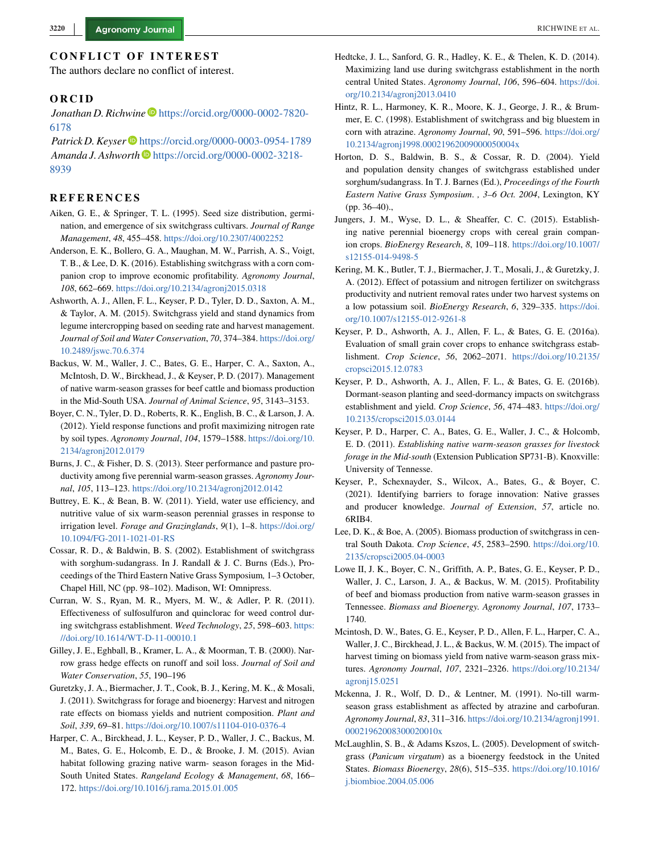<span id="page-10-0"></span>The authors declare no conflict of interest.

#### **ORCID**

*Jonathan D. Richwine* D[https://orcid.org/0000-0002-7820-](https://orcid.org/0000-0002-7820-6178) [6178](https://orcid.org/0000-0002-7820-6178)

Patrick D. Keyser<sup>D</sup> <https://orcid.org/0000-0003-0954-1789> *Amanda J. Ashworth* **D** [https://orcid.org/0000-0002-3218-](https://orcid.org/0000-0002-3218-8939) [8939](https://orcid.org/0000-0002-3218-8939)

#### **REFERENCES**

- Aiken, G. E., & Springer, T. L. (1995). Seed size distribution, germination, and emergence of six switchgrass cultivars. *Journal of Range Management*, *48*, 455–458. <https://doi.org/10.2307/4002252>
- Anderson, E. K., Bollero, G. A., Maughan, M. W., Parrish, A. S., Voigt, T. B., & Lee, D. K. (2016). Establishing switchgrass with a corn companion crop to improve economic profitability. *Agronomy Journal*, *108*, 662–669. <https://doi.org/10.2134/agronj2015.0318>
- Ashworth, A. J., Allen, F. L., Keyser, P. D., Tyler, D. D., Saxton, A. M., & Taylor, A. M. (2015). Switchgrass yield and stand dynamics from legume intercropping based on seeding rate and harvest management. *Journal of Soil and Water Conservation*, *70*, 374–384. [https://doi.org/](https://doi.org/10.2489/jswc.70.6.374) [10.2489/jswc.70.6.374](https://doi.org/10.2489/jswc.70.6.374)
- Backus, W. M., Waller, J. C., Bates, G. E., Harper, C. A., Saxton, A., McIntosh, D. W., Birckhead, J., & Keyser, P. D. (2017). Management of native warm-season grasses for beef cattle and biomass production in the Mid-South USA. *Journal of Animal Science*, *95*, 3143–3153.
- Boyer, C. N., Tyler, D. D., Roberts, R. K., English, B. C., & Larson, J. A. (2012). Yield response functions and profit maximizing nitrogen rate by soil types. *Agronomy Journal*, *104*, 1579–1588. [https://doi.org/10.](https://doi.org/10.2134/agronj2012.0179) [2134/agronj2012.0179](https://doi.org/10.2134/agronj2012.0179)
- Burns, J. C., & Fisher, D. S. (2013). Steer performance and pasture productivity among five perennial warm-season grasses. *Agronomy Journal*, *105*, 113–123. <https://doi.org/10.2134/agronj2012.0142>
- Buttrey, E. K., & Bean, B. W. (2011). Yield, water use efficiency, and nutritive value of six warm-season perennial grasses in response to irrigation level. *Forage and Grazinglands*, *9*(1), 1–8. [https://doi.org/](https://doi.org/10.1094/FG-2011-1021-01-RS) [10.1094/FG-2011-1021-01-RS](https://doi.org/10.1094/FG-2011-1021-01-RS)
- Cossar, R. D., & Baldwin, B. S. (2002). Establishment of switchgrass with sorghum-sudangrass. In J. Randall & J. C. Burns (Eds.), Proceedings of the Third Eastern Native Grass Symposium*,* 1–3 October, Chapel Hill, NC (pp. 98–102). Madison, WI: Omnipress.
- Curran, W. S., Ryan, M. R., Myers, M. W., & Adler, P. R. (2011). Effectiveness of sulfosulfuron and quinclorac for weed control during switchgrass establishment. *Weed Technology*, *25*, 598–603. [https:](https://doi.org/10.1614/WT-D-11-00010.1) [//doi.org/10.1614/WT-D-11-00010.1](https://doi.org/10.1614/WT-D-11-00010.1)
- Gilley, J. E., Eghball, B., Kramer, L. A., & Moorman, T. B. (2000). Narrow grass hedge effects on runoff and soil loss. *Journal of Soil and Water Conservation*, *55*, 190–196
- Guretzky, J. A., Biermacher, J. T., Cook, B. J., Kering, M. K., & Mosali, J. (2011). Switchgrass for forage and bioenergy: Harvest and nitrogen rate effects on biomass yields and nutrient composition. *Plant and Soil*, *339*, 69–81. <https://doi.org/10.1007/s11104-010-0376-4>
- Harper, C. A., Birckhead, J. L., Keyser, P. D., Waller, J. C., Backus, M. M., Bates, G. E., Holcomb, E. D., & Brooke, J. M. (2015). Avian habitat following grazing native warm- season forages in the Mid-South United States. *Rangeland Ecology & Management*, *68*, 166– 172. <https://doi.org/10.1016/j.rama.2015.01.005>
- Hedtcke, J. L., Sanford, G. R., Hadley, K. E., & Thelen, K. D. (2014). Maximizing land use during switchgrass establishment in the north central United States. *Agronomy Journal*, *106*, 596–604. [https://doi.](https://doi.org/10.2134/agronj2013.0410) [org/10.2134/agronj2013.0410](https://doi.org/10.2134/agronj2013.0410)
- Hintz, R. L., Harmoney, K. R., Moore, K. J., George, J. R., & Brummer, E. C. (1998). Establishment of switchgrass and big bluestem in corn with atrazine. *Agronomy Journal*, *90*, 591–596. [https://doi.org/](https://doi.org/10.2134/agronj1998.00021962009000050004x) [10.2134/agronj1998.00021962009000050004x](https://doi.org/10.2134/agronj1998.00021962009000050004x)
- Horton, D. S., Baldwin, B. S., & Cossar, R. D. (2004). Yield and population density changes of switchgrass established under sorghum/sudangrass. In T. J. Barnes (Ed.), *Proceedings of the Fourth Eastern Native Grass Symposium*. *, 3–6 Oct. 2004*, Lexington, KY (pp. 36–40).,
- Jungers, J. M., Wyse, D. L., & Sheaffer, C. C. (2015). Establishing native perennial bioenergy crops with cereal grain companion crops. *BioEnergy Research*, *8*, 109–118. [https://doi.org/10.1007/](https://doi.org/10.1007/s12155-014-9498-5) [s12155-014-9498-5](https://doi.org/10.1007/s12155-014-9498-5)
- Kering, M. K., Butler, T. J., Biermacher, J. T., Mosali, J., & Guretzky, J. A. (2012). Effect of potassium and nitrogen fertilizer on switchgrass productivity and nutrient removal rates under two harvest systems on a low potassium soil. *BioEnergy Research*, *6*, 329–335. [https://doi.](https://doi.org/10.1007/s12155-012-9261-8) [org/10.1007/s12155-012-9261-8](https://doi.org/10.1007/s12155-012-9261-8)
- Keyser, P. D., Ashworth, A. J., Allen, F. L., & Bates, G. E. (2016a). Evaluation of small grain cover crops to enhance switchgrass establishment. *Crop Science*, *56*, 2062–2071. [https://doi.org/10.2135/](https://doi.org/10.2135/cropsci2015.12.0783) [cropsci2015.12.0783](https://doi.org/10.2135/cropsci2015.12.0783)
- Keyser, P. D., Ashworth, A. J., Allen, F. L., & Bates, G. E. (2016b). Dormant-season planting and seed-dormancy impacts on switchgrass establishment and yield. *Crop Science*, *56*, 474–483. [https://doi.org/](https://doi.org/10.2135/cropsci2015.03.0144) [10.2135/cropsci2015.03.0144](https://doi.org/10.2135/cropsci2015.03.0144)
- Keyser, P. D., Harper, C. A., Bates, G. E., Waller, J. C., & Holcomb, E. D. (2011). *Establishing native warm-season grasses for livestock forage in the Mid-south* (Extension Publication SP731-B). Knoxville: University of Tennesse.
- Keyser, P., Schexnayder, S., Wilcox, A., Bates, G., & Boyer, C. (2021). Identifying barriers to forage innovation: Native grasses and producer knowledge. *Journal of Extension*, *57*, article no. 6RIB4.
- Lee, D. K., & Boe, A. (2005). Biomass production of switchgrass in central South Dakota. *Crop Science*, *45*, 2583–2590. [https://doi.org/10.](https://doi.org/10.2135/cropsci2005.04-0003) [2135/cropsci2005.04-0003](https://doi.org/10.2135/cropsci2005.04-0003)
- Lowe II, J. K., Boyer, C. N., Griffith, A. P., Bates, G. E., Keyser, P. D., Waller, J. C., Larson, J. A., & Backus, W. M. (2015). Profitability of beef and biomass production from native warm-season grasses in Tennessee. *Biomass and Bioenergy. Agronomy Journal*, *107*, 1733– 1740.
- Mcintosh, D. W., Bates, G. E., Keyser, P. D., Allen, F. L., Harper, C. A., Waller, J. C., Birckhead, J. L., & Backus, W. M. (2015). The impact of harvest timing on biomass yield from native warm-season grass mixtures. *Agronomy Journal*, *107*, 2321–2326. [https://doi.org/10.2134/](https://doi.org/10.2134/agronj15.0251) [agronj15.0251](https://doi.org/10.2134/agronj15.0251)
- Mckenna, J. R., Wolf, D. D., & Lentner, M. (1991). No-till warmseason grass establishment as affected by atrazine and carbofuran. *Agronomy Journal*, *83*, 311–316. [https://doi.org/10.2134/agronj1991.](https://doi.org/10.2134/agronj1991.00021962008300020010x) [00021962008300020010x](https://doi.org/10.2134/agronj1991.00021962008300020010x)
- McLaughlin, S. B., & Adams Kszos, L. (2005). Development of switchgrass (*Panicum virgatum*) as a bioenergy feedstock in the United States. *Biomass Bioenergy*, *28*(6), 515–535. [https://doi.org/10.1016/](https://doi.org/10.1016/j.biombioe.2004.05.006) [j.biombioe.2004.05.006](https://doi.org/10.1016/j.biombioe.2004.05.006)